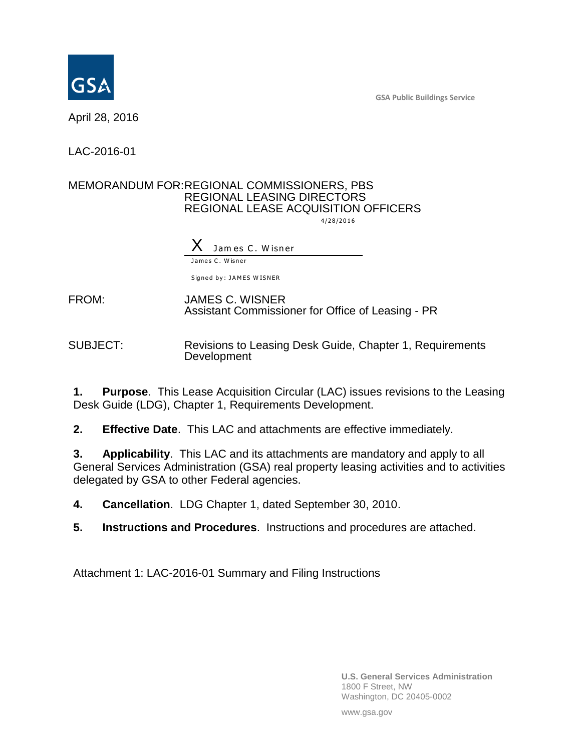**GSA Public Buildings Service**



April 28, 2016

LAC-2016-01

## MEMORANDUM FOR:REGIONAL COMMISSIONERS, PBS REGIONAL LEASING DIRECTORS REGIONAL LEASE ACQUISITION OFFICERS

4 /2 8 /2 0 1 6

Jam es C. Wisner James C. Wisner

Signed by: JAMES WISNER

FROM: JAMES C. WISNER Assistant Commissioner for Office of Leasing - PR

SUBJECT: Revisions to Leasing Desk Guide, Chapter 1, Requirements **Development** 

**1. Purpose**. This Lease Acquisition Circular (LAC) issues revisions to the Leasing Desk Guide (LDG), Chapter 1, Requirements Development.

**2. Effective Date**. This LAC and attachments are effective immediately.

**3. Applicability**. This LAC and its attachments are mandatory and apply to all General Services Administration (GSA) real property leasing activities and to activities delegated by GSA to other Federal agencies.

**4. Cancellation**. LDG Chapter 1, dated September 30, 2010.

**5. Instructions and Procedures**. Instructions and procedures are attached.

Attachment 1: LAC-2016-01 Summary and Filing Instructions

**U.S. General Services Administration** 1800 F Street, NW Washington, DC 20405-0002

www.gsa.gov